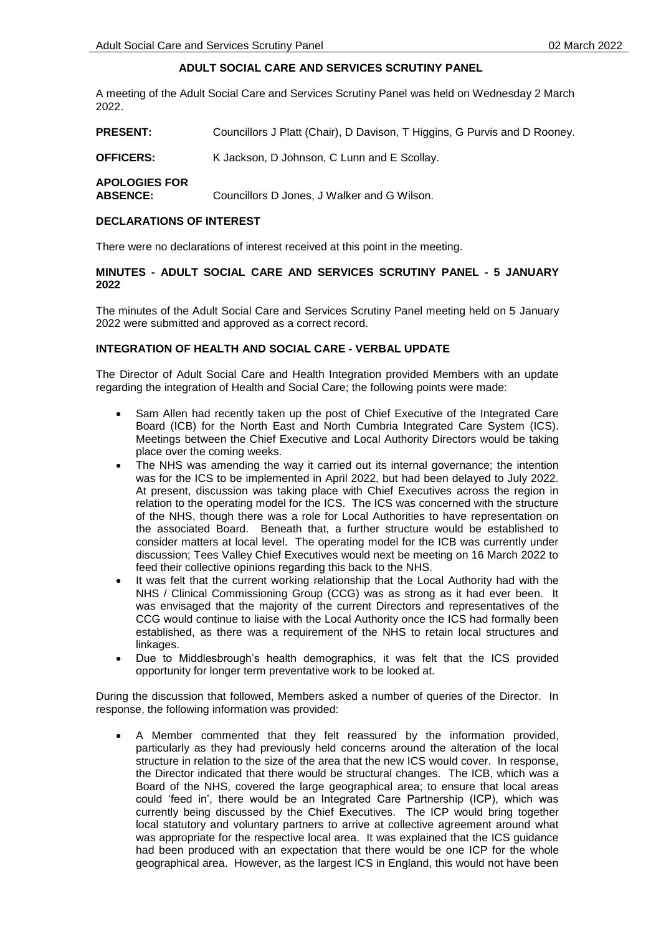# **ADULT SOCIAL CARE AND SERVICES SCRUTINY PANEL**

A meeting of the Adult Social Care and Services Scrutiny Panel was held on Wednesday 2 March 2022.

**PRESENT:** Councillors J Platt (Chair), D Davison, T Higgins, G Purvis and D Rooney.

**OFFICERS:** K Jackson, D Johnson, C Lunn and E Scollay.

**APOLOGIES FOR** 

**ABSENCE:** Councillors D Jones, J Walker and G Wilson.

### **DECLARATIONS OF INTEREST**

There were no declarations of interest received at this point in the meeting.

## **MINUTES - ADULT SOCIAL CARE AND SERVICES SCRUTINY PANEL - 5 JANUARY 2022**

The minutes of the Adult Social Care and Services Scrutiny Panel meeting held on 5 January 2022 were submitted and approved as a correct record.

## **INTEGRATION OF HEALTH AND SOCIAL CARE - VERBAL UPDATE**

The Director of Adult Social Care and Health Integration provided Members with an update regarding the integration of Health and Social Care; the following points were made:

- Sam Allen had recently taken up the post of Chief Executive of the Integrated Care Board (ICB) for the North East and North Cumbria Integrated Care System (ICS). Meetings between the Chief Executive and Local Authority Directors would be taking place over the coming weeks.
- The NHS was amending the way it carried out its internal governance; the intention was for the ICS to be implemented in April 2022, but had been delayed to July 2022. At present, discussion was taking place with Chief Executives across the region in relation to the operating model for the ICS. The ICS was concerned with the structure of the NHS, though there was a role for Local Authorities to have representation on the associated Board. Beneath that, a further structure would be established to consider matters at local level. The operating model for the ICB was currently under discussion; Tees Valley Chief Executives would next be meeting on 16 March 2022 to feed their collective opinions regarding this back to the NHS.
- It was felt that the current working relationship that the Local Authority had with the NHS / Clinical Commissioning Group (CCG) was as strong as it had ever been. It was envisaged that the majority of the current Directors and representatives of the CCG would continue to liaise with the Local Authority once the ICS had formally been established, as there was a requirement of the NHS to retain local structures and linkages.
- Due to Middlesbrough's health demographics, it was felt that the ICS provided opportunity for longer term preventative work to be looked at.

During the discussion that followed, Members asked a number of queries of the Director. In response, the following information was provided:

 A Member commented that they felt reassured by the information provided, particularly as they had previously held concerns around the alteration of the local structure in relation to the size of the area that the new ICS would cover. In response, the Director indicated that there would be structural changes. The ICB, which was a Board of the NHS, covered the large geographical area; to ensure that local areas could 'feed in', there would be an Integrated Care Partnership (ICP), which was currently being discussed by the Chief Executives. The ICP would bring together local statutory and voluntary partners to arrive at collective agreement around what was appropriate for the respective local area. It was explained that the ICS guidance had been produced with an expectation that there would be one ICP for the whole geographical area. However, as the largest ICS in England, this would not have been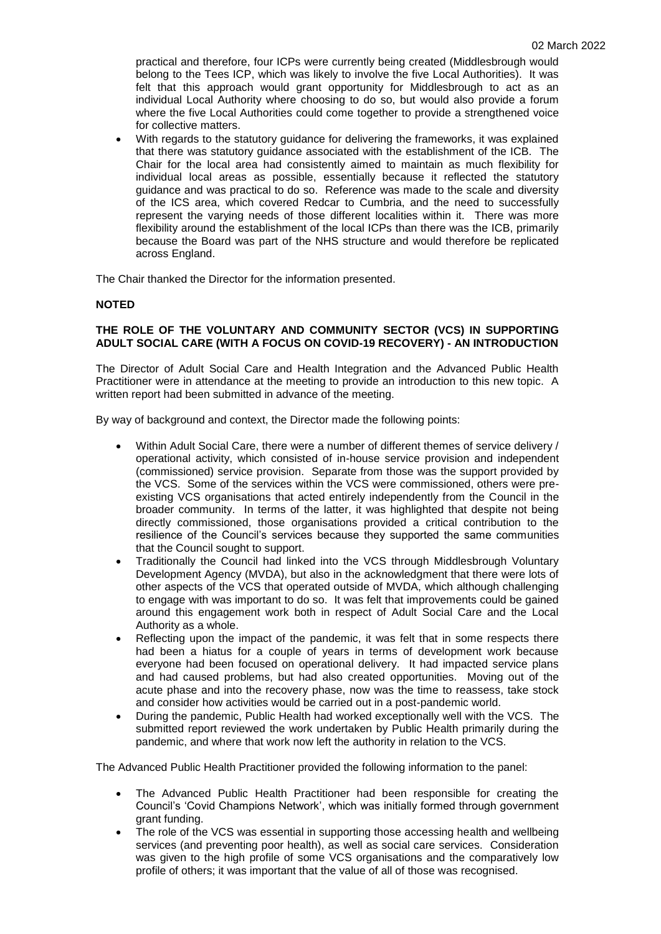practical and therefore, four ICPs were currently being created (Middlesbrough would belong to the Tees ICP, which was likely to involve the five Local Authorities). It was felt that this approach would grant opportunity for Middlesbrough to act as an individual Local Authority where choosing to do so, but would also provide a forum where the five Local Authorities could come together to provide a strengthened voice for collective matters.

 With regards to the statutory guidance for delivering the frameworks, it was explained that there was statutory guidance associated with the establishment of the ICB. The Chair for the local area had consistently aimed to maintain as much flexibility for individual local areas as possible, essentially because it reflected the statutory guidance and was practical to do so. Reference was made to the scale and diversity of the ICS area, which covered Redcar to Cumbria, and the need to successfully represent the varying needs of those different localities within it. There was more flexibility around the establishment of the local ICPs than there was the ICB, primarily because the Board was part of the NHS structure and would therefore be replicated across England.

The Chair thanked the Director for the information presented.

## **NOTED**

## **THE ROLE OF THE VOLUNTARY AND COMMUNITY SECTOR (VCS) IN SUPPORTING ADULT SOCIAL CARE (WITH A FOCUS ON COVID-19 RECOVERY) - AN INTRODUCTION**

The Director of Adult Social Care and Health Integration and the Advanced Public Health Practitioner were in attendance at the meeting to provide an introduction to this new topic. A written report had been submitted in advance of the meeting.

By way of background and context, the Director made the following points:

- Within Adult Social Care, there were a number of different themes of service delivery / operational activity, which consisted of in-house service provision and independent (commissioned) service provision. Separate from those was the support provided by the VCS. Some of the services within the VCS were commissioned, others were preexisting VCS organisations that acted entirely independently from the Council in the broader community. In terms of the latter, it was highlighted that despite not being directly commissioned, those organisations provided a critical contribution to the resilience of the Council's services because they supported the same communities that the Council sought to support.
- Traditionally the Council had linked into the VCS through Middlesbrough Voluntary Development Agency (MVDA), but also in the acknowledgment that there were lots of other aspects of the VCS that operated outside of MVDA, which although challenging to engage with was important to do so. It was felt that improvements could be gained around this engagement work both in respect of Adult Social Care and the Local Authority as a whole.
- Reflecting upon the impact of the pandemic, it was felt that in some respects there had been a hiatus for a couple of years in terms of development work because everyone had been focused on operational delivery. It had impacted service plans and had caused problems, but had also created opportunities. Moving out of the acute phase and into the recovery phase, now was the time to reassess, take stock and consider how activities would be carried out in a post-pandemic world.
- During the pandemic, Public Health had worked exceptionally well with the VCS. The submitted report reviewed the work undertaken by Public Health primarily during the pandemic, and where that work now left the authority in relation to the VCS.

The Advanced Public Health Practitioner provided the following information to the panel:

- The Advanced Public Health Practitioner had been responsible for creating the Council's 'Covid Champions Network', which was initially formed through government grant funding.
- The role of the VCS was essential in supporting those accessing health and wellbeing services (and preventing poor health), as well as social care services. Consideration was given to the high profile of some VCS organisations and the comparatively low profile of others; it was important that the value of all of those was recognised.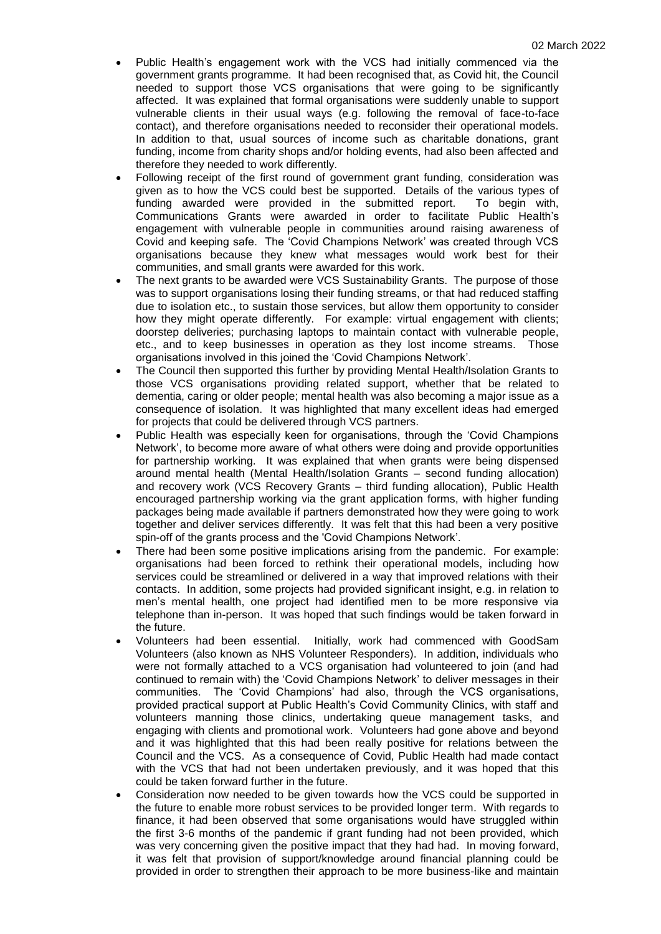- Public Health's engagement work with the VCS had initially commenced via the government grants programme. It had been recognised that, as Covid hit, the Council needed to support those VCS organisations that were going to be significantly affected. It was explained that formal organisations were suddenly unable to support vulnerable clients in their usual ways (e.g. following the removal of face-to-face contact), and therefore organisations needed to reconsider their operational models. In addition to that, usual sources of income such as charitable donations, grant funding, income from charity shops and/or holding events, had also been affected and therefore they needed to work differently.
- Following receipt of the first round of government grant funding, consideration was given as to how the VCS could best be supported. Details of the various types of funding awarded were provided in the submitted report. To begin with, Communications Grants were awarded in order to facilitate Public Health's engagement with vulnerable people in communities around raising awareness of Covid and keeping safe. The 'Covid Champions Network' was created through VCS organisations because they knew what messages would work best for their communities, and small grants were awarded for this work.
- The next grants to be awarded were VCS Sustainability Grants. The purpose of those was to support organisations losing their funding streams, or that had reduced staffing due to isolation etc., to sustain those services, but allow them opportunity to consider how they might operate differently. For example: virtual engagement with clients; doorstep deliveries; purchasing laptops to maintain contact with vulnerable people, etc., and to keep businesses in operation as they lost income streams. Those organisations involved in this joined the 'Covid Champions Network'.
- The Council then supported this further by providing Mental Health/Isolation Grants to those VCS organisations providing related support, whether that be related to dementia, caring or older people; mental health was also becoming a major issue as a consequence of isolation. It was highlighted that many excellent ideas had emerged for projects that could be delivered through VCS partners.
- Public Health was especially keen for organisations, through the 'Covid Champions Network', to become more aware of what others were doing and provide opportunities for partnership working. It was explained that when grants were being dispensed around mental health (Mental Health/Isolation Grants – second funding allocation) and recovery work (VCS Recovery Grants – third funding allocation), Public Health encouraged partnership working via the grant application forms, with higher funding packages being made available if partners demonstrated how they were going to work together and deliver services differently. It was felt that this had been a very positive spin-off of the grants process and the 'Covid Champions Network'.
- There had been some positive implications arising from the pandemic. For example: organisations had been forced to rethink their operational models, including how services could be streamlined or delivered in a way that improved relations with their contacts. In addition, some projects had provided significant insight, e.g. in relation to men's mental health, one project had identified men to be more responsive via telephone than in-person. It was hoped that such findings would be taken forward in the future.
- Volunteers had been essential. Initially, work had commenced with GoodSam Volunteers (also known as NHS Volunteer Responders). In addition, individuals who were not formally attached to a VCS organisation had volunteered to join (and had continued to remain with) the 'Covid Champions Network' to deliver messages in their communities. The 'Covid Champions' had also, through the VCS organisations, provided practical support at Public Health's Covid Community Clinics, with staff and volunteers manning those clinics, undertaking queue management tasks, and engaging with clients and promotional work. Volunteers had gone above and beyond and it was highlighted that this had been really positive for relations between the Council and the VCS. As a consequence of Covid, Public Health had made contact with the VCS that had not been undertaken previously, and it was hoped that this could be taken forward further in the future.
- Consideration now needed to be given towards how the VCS could be supported in the future to enable more robust services to be provided longer term. With regards to finance, it had been observed that some organisations would have struggled within the first 3-6 months of the pandemic if grant funding had not been provided, which was very concerning given the positive impact that they had had. In moving forward, it was felt that provision of support/knowledge around financial planning could be provided in order to strengthen their approach to be more business-like and maintain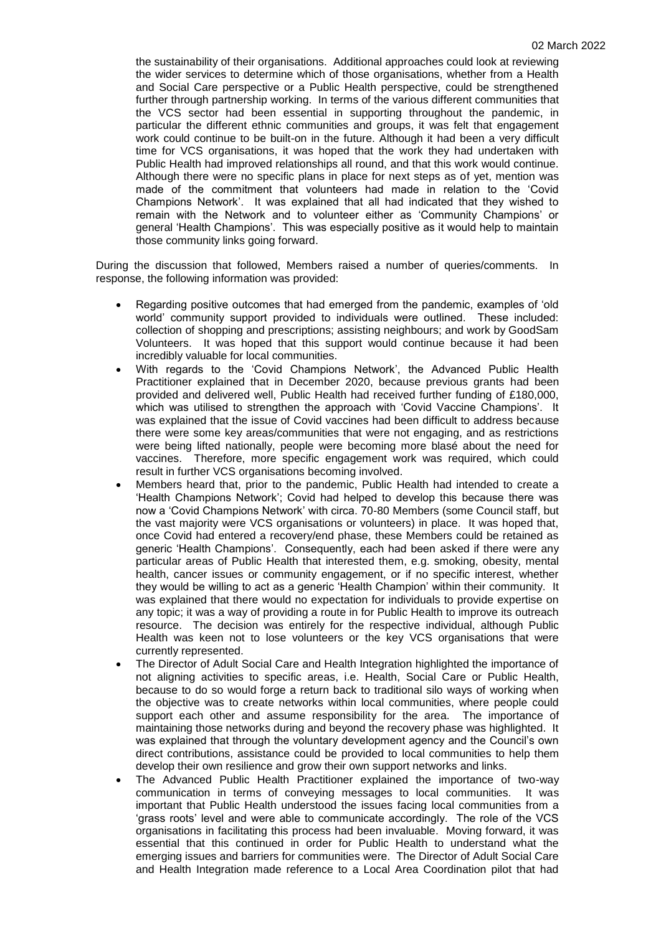the sustainability of their organisations. Additional approaches could look at reviewing the wider services to determine which of those organisations, whether from a Health and Social Care perspective or a Public Health perspective, could be strengthened further through partnership working. In terms of the various different communities that the VCS sector had been essential in supporting throughout the pandemic, in particular the different ethnic communities and groups, it was felt that engagement work could continue to be built-on in the future. Although it had been a very difficult time for VCS organisations, it was hoped that the work they had undertaken with Public Health had improved relationships all round, and that this work would continue. Although there were no specific plans in place for next steps as of yet, mention was made of the commitment that volunteers had made in relation to the 'Covid Champions Network'. It was explained that all had indicated that they wished to remain with the Network and to volunteer either as 'Community Champions' or general 'Health Champions'. This was especially positive as it would help to maintain those community links going forward.

During the discussion that followed, Members raised a number of queries/comments. In response, the following information was provided:

- Regarding positive outcomes that had emerged from the pandemic, examples of 'old world' community support provided to individuals were outlined. These included: collection of shopping and prescriptions; assisting neighbours; and work by GoodSam Volunteers. It was hoped that this support would continue because it had been incredibly valuable for local communities.
- With regards to the 'Covid Champions Network', the Advanced Public Health Practitioner explained that in December 2020, because previous grants had been provided and delivered well, Public Health had received further funding of £180,000, which was utilised to strengthen the approach with 'Covid Vaccine Champions'. It was explained that the issue of Covid vaccines had been difficult to address because there were some key areas/communities that were not engaging, and as restrictions were being lifted nationally, people were becoming more blasé about the need for vaccines. Therefore, more specific engagement work was required, which could result in further VCS organisations becoming involved.
- Members heard that, prior to the pandemic, Public Health had intended to create a 'Health Champions Network'; Covid had helped to develop this because there was now a 'Covid Champions Network' with circa. 70-80 Members (some Council staff, but the vast majority were VCS organisations or volunteers) in place. It was hoped that, once Covid had entered a recovery/end phase, these Members could be retained as generic 'Health Champions'. Consequently, each had been asked if there were any particular areas of Public Health that interested them, e.g. smoking, obesity, mental health, cancer issues or community engagement, or if no specific interest, whether they would be willing to act as a generic 'Health Champion' within their community. It was explained that there would no expectation for individuals to provide expertise on any topic; it was a way of providing a route in for Public Health to improve its outreach resource. The decision was entirely for the respective individual, although Public Health was keen not to lose volunteers or the key VCS organisations that were currently represented.
- The Director of Adult Social Care and Health Integration highlighted the importance of not aligning activities to specific areas, i.e. Health, Social Care or Public Health, because to do so would forge a return back to traditional silo ways of working when the objective was to create networks within local communities, where people could support each other and assume responsibility for the area. The importance of maintaining those networks during and beyond the recovery phase was highlighted. It was explained that through the voluntary development agency and the Council's own direct contributions, assistance could be provided to local communities to help them develop their own resilience and grow their own support networks and links.
- The Advanced Public Health Practitioner explained the importance of two-way communication in terms of conveying messages to local communities. It was important that Public Health understood the issues facing local communities from a 'grass roots' level and were able to communicate accordingly. The role of the VCS organisations in facilitating this process had been invaluable. Moving forward, it was essential that this continued in order for Public Health to understand what the emerging issues and barriers for communities were. The Director of Adult Social Care and Health Integration made reference to a Local Area Coordination pilot that had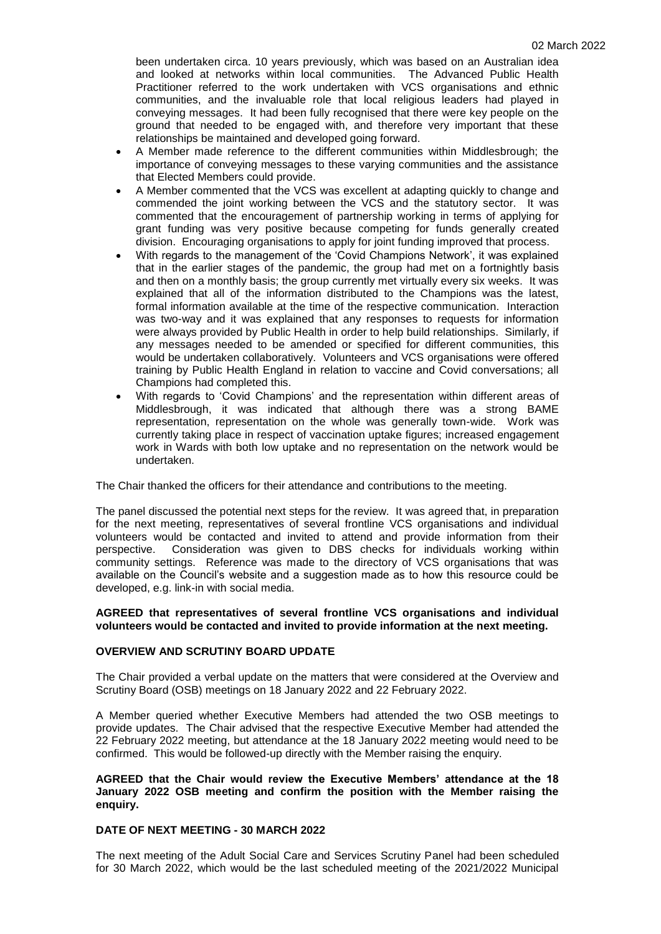been undertaken circa. 10 years previously, which was based on an Australian idea and looked at networks within local communities. The Advanced Public Health Practitioner referred to the work undertaken with VCS organisations and ethnic communities, and the invaluable role that local religious leaders had played in conveying messages. It had been fully recognised that there were key people on the ground that needed to be engaged with, and therefore very important that these relationships be maintained and developed going forward.

- A Member made reference to the different communities within Middlesbrough; the importance of conveying messages to these varying communities and the assistance that Elected Members could provide.
- A Member commented that the VCS was excellent at adapting quickly to change and commended the joint working between the VCS and the statutory sector. It was commented that the encouragement of partnership working in terms of applying for grant funding was very positive because competing for funds generally created division. Encouraging organisations to apply for joint funding improved that process.
- With regards to the management of the 'Covid Champions Network', it was explained that in the earlier stages of the pandemic, the group had met on a fortnightly basis and then on a monthly basis; the group currently met virtually every six weeks. It was explained that all of the information distributed to the Champions was the latest, formal information available at the time of the respective communication. Interaction was two-way and it was explained that any responses to requests for information were always provided by Public Health in order to help build relationships. Similarly, if any messages needed to be amended or specified for different communities, this would be undertaken collaboratively. Volunteers and VCS organisations were offered training by Public Health England in relation to vaccine and Covid conversations; all Champions had completed this.
- With regards to 'Covid Champions' and the representation within different areas of Middlesbrough, it was indicated that although there was a strong BAME representation, representation on the whole was generally town-wide. Work was currently taking place in respect of vaccination uptake figures; increased engagement work in Wards with both low uptake and no representation on the network would be undertaken.

The Chair thanked the officers for their attendance and contributions to the meeting.

The panel discussed the potential next steps for the review. It was agreed that, in preparation for the next meeting, representatives of several frontline VCS organisations and individual volunteers would be contacted and invited to attend and provide information from their perspective. Consideration was given to DBS checks for individuals working within community settings. Reference was made to the directory of VCS organisations that was available on the Council's website and a suggestion made as to how this resource could be developed, e.g. link-in with social media.

#### **AGREED that representatives of several frontline VCS organisations and individual volunteers would be contacted and invited to provide information at the next meeting.**

#### **OVERVIEW AND SCRUTINY BOARD UPDATE**

The Chair provided a verbal update on the matters that were considered at the Overview and Scrutiny Board (OSB) meetings on 18 January 2022 and 22 February 2022.

A Member queried whether Executive Members had attended the two OSB meetings to provide updates. The Chair advised that the respective Executive Member had attended the 22 February 2022 meeting, but attendance at the 18 January 2022 meeting would need to be confirmed. This would be followed-up directly with the Member raising the enquiry.

### **AGREED that the Chair would review the Executive Members' attendance at the 18 January 2022 OSB meeting and confirm the position with the Member raising the enquiry.**

## **DATE OF NEXT MEETING - 30 MARCH 2022**

The next meeting of the Adult Social Care and Services Scrutiny Panel had been scheduled for 30 March 2022, which would be the last scheduled meeting of the 2021/2022 Municipal